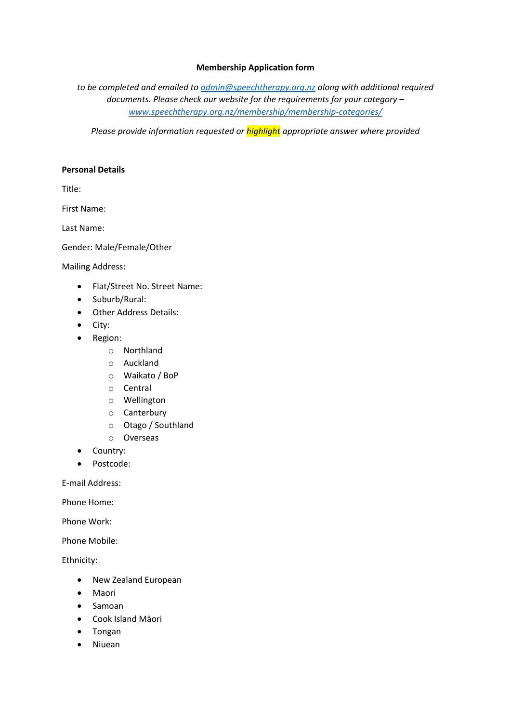### **Membership Application form**

*to be completed and emailed to [admin@speechtherapy.org.nz](mailto:admin@speechtherapy.org.nz) along with additional required documents. Please check our website for the requirements for your category – [www.speechtherapy.org.nz/membership/membership-categories/](http://www.speechtherapy.org.nz/membership/membership-categories/)*

*Please provide information requested or highlight appropriate answer where provided*

#### **Personal Details**

Title:

First Name:

Last Name:

Gender: Male/Female/Other

Mailing Address:

- Flat/Street No. Street Name:
- Suburb/Rural:
- Other Address Details:
- City:
- Region:
	- o Northland
	- o Auckland
	- o Waikato / BoP
	- o Central
	- o Wellington
	- o Canterbury
	- o Otago / Southland
	- o Overseas
- Country:
- Postcode:

E-mail Address:

Phone Home:

Phone Work:

Phone Mobile:

Ethnicity:

- New Zealand European
- Maori
- Samoan
- Cook Island Māori
- Tongan
- Niuean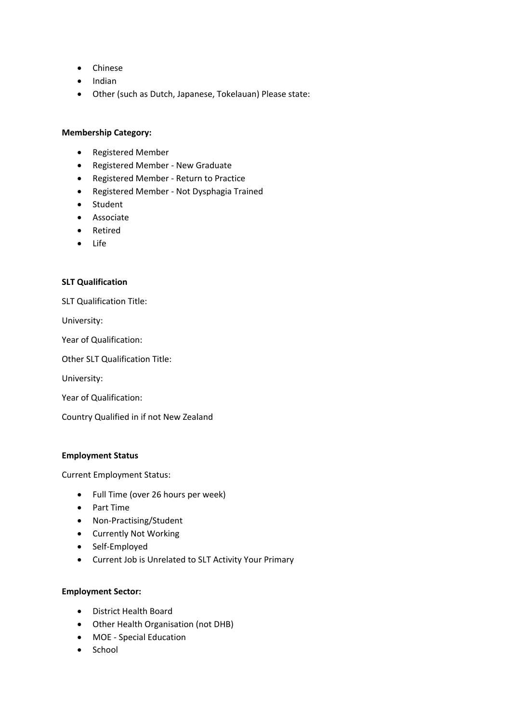- Chinese
- Indian
- Other (such as Dutch, Japanese, Tokelauan) Please state:

#### **Membership Category:**

- Registered Member
- Registered Member New Graduate
- Registered Member Return to Practice
- Registered Member Not Dysphagia Trained
- Student
- Associate
- Retired
- Life

#### **SLT Qualification**

SLT Qualification Title:

University:

Year of Qualification:

Other SLT Qualification Title:

University:

Year of Qualification:

Country Qualified in if not New Zealand

#### **Employment Status**

Current Employment Status:

- Full Time (over 26 hours per week)
- Part Time
- Non-Practising/Student
- Currently Not Working
- Self-Employed
- Current Job is Unrelated to SLT Activity Your Primary

### **Employment Sector:**

- District Health Board
- Other Health Organisation (not DHB)
- MOE Special Education
- School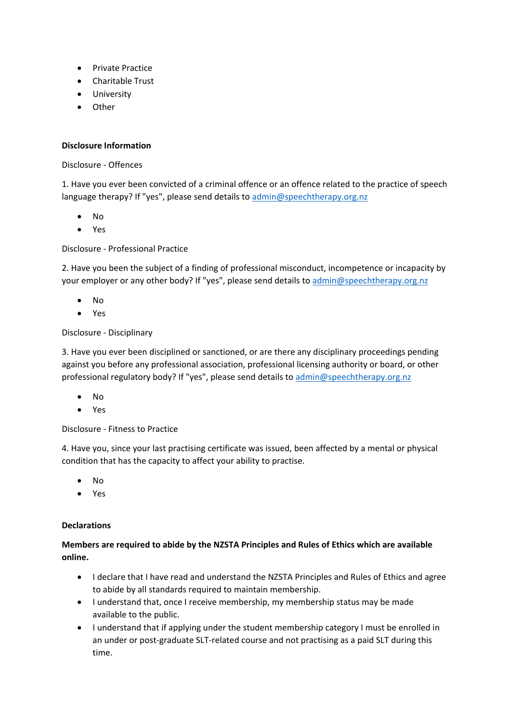- Private Practice
- Charitable Trust
- University
- Other

## **Disclosure Information**

### Disclosure - Offences

1. Have you ever been convicted of a criminal offence or an offence related to the practice of speech language therapy? If "yes", please send details to [admin@speechtherapy.org.nz](mailto:admin@speechtherapy.org.nz)

- No
- Yes

## Disclosure - Professional Practice

2. Have you been the subject of a finding of professional misconduct, incompetence or incapacity by your employer or any other body? If "yes", please send details to [admin@speechtherapy.org.nz](mailto:admin@speechtherapy.org.nz)

- No
- Yes

## Disclosure - Disciplinary

3. Have you ever been disciplined or sanctioned, or are there any disciplinary proceedings pending against you before any professional association, professional licensing authority or board, or other professional regulatory body? If "yes", please send details to [admin@speechtherapy.org.nz](mailto:admin@speechtherapy.org.nz)

- No
- Yes

## Disclosure - Fitness to Practice

4. Have you, since your last practising certificate was issued, been affected by a mental or physical condition that has the capacity to affect your ability to practise.

- No
- Yes

#### **Declarations**

# **Members are required to abide by the NZSTA Principles and Rules of Ethics which are available online.**

- I declare that I have read and understand the NZSTA Principles and Rules of Ethics and agree to abide by all standards required to maintain membership.
- I understand that, once I receive membership, my membership status may be made available to the public.
- I understand that if applying under the student membership category I must be enrolled in an under or post-graduate SLT-related course and not practising as a paid SLT during this time.